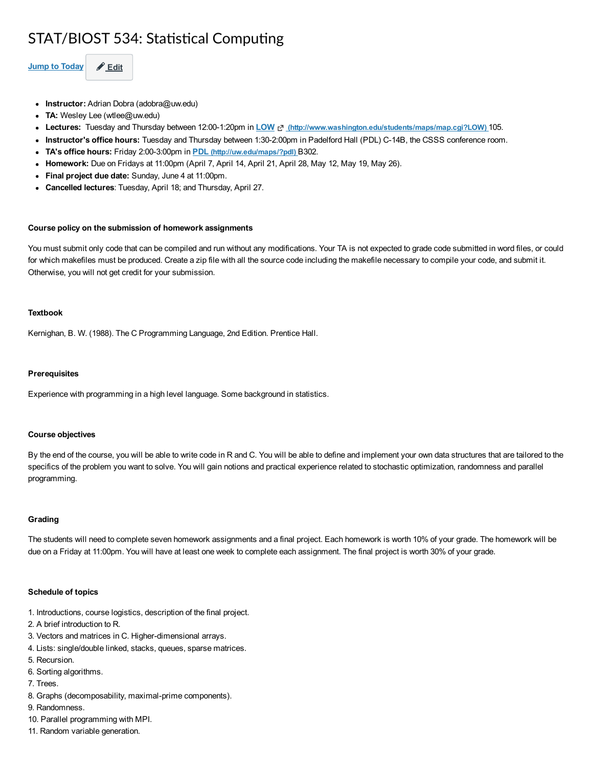# STAT/BIOST 534: Statistical Computing

Jump to Today  $\theta$  Edit

- Instructor: Adrian Dobra (adobra@uw.edu)
- TA: Wesley Lee (wtlee@uw.edu)
- Lectures: Tuesday and Thursday between 12:00-1:20pm in LOW [Nttp://www.washington.edu/students/maps/map.cgi?LOW) 105.
- Instructor's office hours: Tuesday and Thursday between 1:30-2:00pm in Padelford Hall (PDL) C-14B, the CSSS conference room.
- TA's office hours: Friday 2:00-3:00pm in PDL [\(http://uw.edu/maps/?pdl\)](http://uw.edu/maps/?pdl) B302.
- Homework: Due on Fridays at 11:00pm (April 7, April 14, April 21, April 28, May 12, May 19, May 26).
- Final project due date: Sunday, June 4 at 11:00pm.
- **Cancelled lectures**: Tuesday, April 18; and Thursday, April 27.

# Course policy on the submission of homework assignments

You must submit only code that can be compiled and run without any modifications. Your TA is not expected to grade code submitted in word files, or could for which makefiles must be produced. Create a zip file with all the source code including the makefile necessary to compile your code, and submit it. Otherwise, you will not get credit for your submission.

### Textbook

Kernighan, B. W. (1988). The C Programming Language, 2nd Edition. Prentice Hall.

#### **Prerequisites**

Experience with programming in a high level language. Some background in statistics.

#### Course objectives

By the end of the course, you will be able to write code in R and C. You will be able to define and implement your own data structures that are tailored to the specifics of the problem you want to solve. You will gain notions and practical experience related to stochastic optimization, randomness and parallel programming.

## Grading

The students will need to complete seven homework assignments and a final project. Each homework is worth 10% of your grade. The homework will be due on a Friday at 11:00pm. You will have at least one week to complete each assignment. The final project is worth 30% of your grade.

#### Schedule of topics

- 1. Introductions, course logistics, description of the final project.
- 2. A brief introduction to R.
- 3. Vectors and matrices in C. Higher-dimensional arrays.
- 4. Lists: single/double linked, stacks, queues, sparse matrices.
- 5. Recursion.
- 6. Sorting algorithms.
- 7. Trees.
- 8. Graphs (decomposability, maximal-prime components).
- 9. Randomness.
- 10. Parallel programming with MPI.
- 11. Random variable generation.